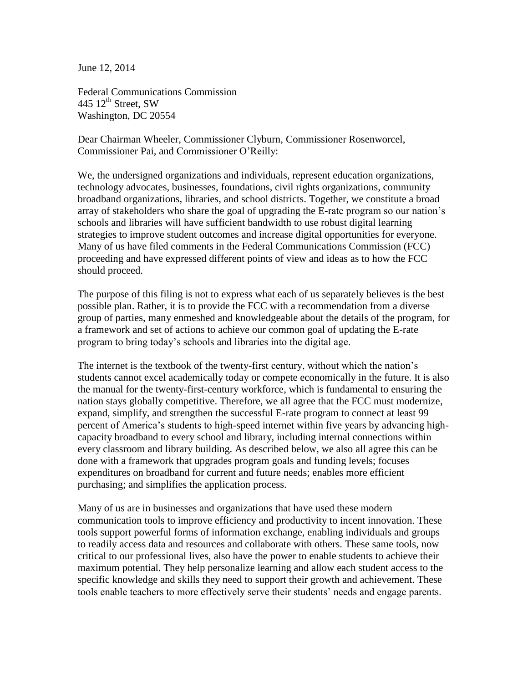June 12, 2014

Federal Communications Commission 445  $12^{\text{th}}$  Street, SW Washington, DC 20554

Dear Chairman Wheeler, Commissioner Clyburn, Commissioner Rosenworcel, Commissioner Pai, and Commissioner O'Reilly:

We, the undersigned organizations and individuals, represent education organizations, technology advocates, businesses, foundations, civil rights organizations, community broadband organizations, libraries, and school districts. Together, we constitute a broad array of stakeholders who share the goal of upgrading the E-rate program so our nation's schools and libraries will have sufficient bandwidth to use robust digital learning strategies to improve student outcomes and increase digital opportunities for everyone. Many of us have filed comments in the Federal Communications Commission (FCC) proceeding and have expressed different points of view and ideas as to how the FCC should proceed.

The purpose of this filing is not to express what each of us separately believes is the best possible plan. Rather, it is to provide the FCC with a recommendation from a diverse group of parties, many enmeshed and knowledgeable about the details of the program, for a framework and set of actions to achieve our common goal of updating the E-rate program to bring today's schools and libraries into the digital age.

The internet is the textbook of the twenty-first century, without which the nation's students cannot excel academically today or compete economically in the future. It is also the manual for the twenty-first-century workforce, which is fundamental to ensuring the nation stays globally competitive. Therefore, we all agree that the FCC must modernize, expand, simplify, and strengthen the successful E-rate program to connect at least 99 percent of America's students to high-speed internet within five years by advancing highcapacity broadband to every school and library, including internal connections within every classroom and library building. As described below, we also all agree this can be done with a framework that upgrades program goals and funding levels; focuses expenditures on broadband for current and future needs; enables more efficient purchasing; and simplifies the application process.

Many of us are in businesses and organizations that have used these modern communication tools to improve efficiency and productivity to incent innovation. These tools support powerful forms of information exchange, enabling individuals and groups to readily access data and resources and collaborate with others. These same tools, now critical to our professional lives, also have the power to enable students to achieve their maximum potential. They help personalize learning and allow each student access to the specific knowledge and skills they need to support their growth and achievement. These tools enable teachers to more effectively serve their students' needs and engage parents.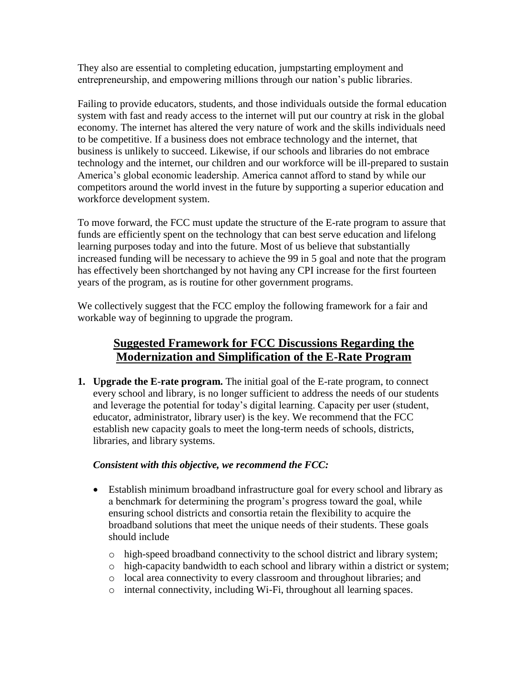They also are essential to completing education, jumpstarting employment and entrepreneurship, and empowering millions through our nation's public libraries.

Failing to provide educators, students, and those individuals outside the formal education system with fast and ready access to the internet will put our country at risk in the global economy. The internet has altered the very nature of work and the skills individuals need to be competitive. If a business does not embrace technology and the internet, that business is unlikely to succeed. Likewise, if our schools and libraries do not embrace technology and the internet, our children and our workforce will be ill-prepared to sustain America's global economic leadership. America cannot afford to stand by while our competitors around the world invest in the future by supporting a superior education and workforce development system.

To move forward, the FCC must update the structure of the E-rate program to assure that funds are efficiently spent on the technology that can best serve education and lifelong learning purposes today and into the future. Most of us believe that substantially increased funding will be necessary to achieve the 99 in 5 goal and note that the program has effectively been shortchanged by not having any CPI increase for the first fourteen years of the program, as is routine for other government programs.

We collectively suggest that the FCC employ the following framework for a fair and workable way of beginning to upgrade the program.

# **Suggested Framework for FCC Discussions Regarding the Modernization and Simplification of the E-Rate Program**

**1. Upgrade the E-rate program.** The initial goal of the E-rate program, to connect every school and library, is no longer sufficient to address the needs of our students and leverage the potential for today's digital learning. Capacity per user (student, educator, administrator, library user) is the key. We recommend that the FCC establish new capacity goals to meet the long-term needs of schools, districts, libraries, and library systems.

# *Consistent with this objective, we recommend the FCC:*

- Establish minimum broadband infrastructure goal for every school and library as a benchmark for determining the program's progress toward the goal, while ensuring school districts and consortia retain the flexibility to acquire the broadband solutions that meet the unique needs of their students. These goals should include
	- o high-speed broadband connectivity to the school district and library system;
	- o high-capacity bandwidth to each school and library within a district or system;
	- o local area connectivity to every classroom and throughout libraries; and
	- o internal connectivity, including Wi-Fi, throughout all learning spaces.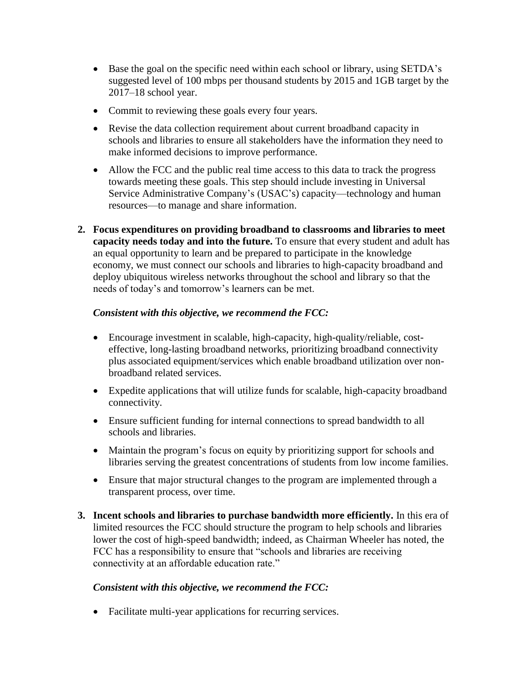- Base the goal on the specific need within each school or library, using SETDA's suggested level of 100 mbps per thousand students by 2015 and 1GB target by the 2017–18 school year.
- Commit to reviewing these goals every four years.
- Revise the data collection requirement about current broadband capacity in schools and libraries to ensure all stakeholders have the information they need to make informed decisions to improve performance.
- Allow the FCC and the public real time access to this data to track the progress towards meeting these goals. This step should include investing in Universal Service Administrative Company's (USAC's) capacity—technology and human resources—to manage and share information.
- **2. Focus expenditures on providing broadband to classrooms and libraries to meet capacity needs today and into the future.** To ensure that every student and adult has an equal opportunity to learn and be prepared to participate in the knowledge economy, we must connect our schools and libraries to high-capacity broadband and deploy ubiquitous wireless networks throughout the school and library so that the needs of today's and tomorrow's learners can be met.

### *Consistent with this objective, we recommend the FCC:*

- Encourage investment in scalable, high-capacity, high-quality/reliable, costeffective, long-lasting broadband networks, prioritizing broadband connectivity plus associated equipment/services which enable broadband utilization over nonbroadband related services.
- Expedite applications that will utilize funds for scalable, high-capacity broadband connectivity.
- Ensure sufficient funding for internal connections to spread bandwidth to all schools and libraries.
- Maintain the program's focus on equity by prioritizing support for schools and libraries serving the greatest concentrations of students from low income families.
- Ensure that major structural changes to the program are implemented through a transparent process, over time.
- **3. Incent schools and libraries to purchase bandwidth more efficiently.** In this era of limited resources the FCC should structure the program to help schools and libraries lower the cost of high-speed bandwidth; indeed, as Chairman Wheeler has noted, the FCC has a responsibility to ensure that "schools and libraries are receiving connectivity at an affordable education rate."

#### *Consistent with this objective, we recommend the FCC:*

Facilitate multi-year applications for recurring services.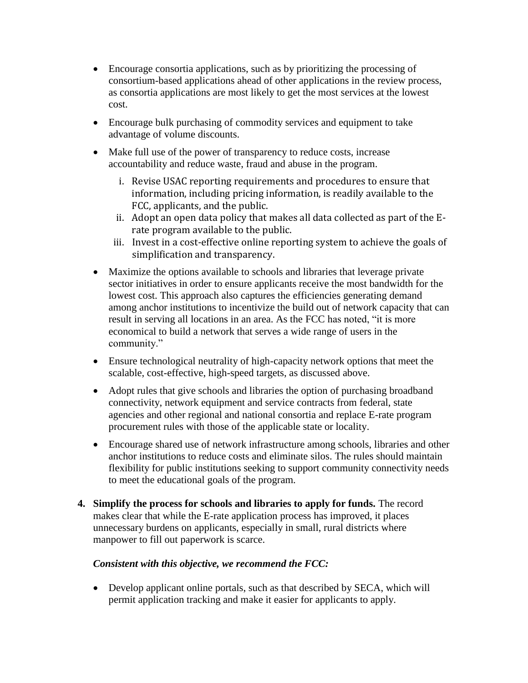- Encourage consortia applications, such as by prioritizing the processing of consortium-based applications ahead of other applications in the review process, as consortia applications are most likely to get the most services at the lowest cost.
- Encourage bulk purchasing of commodity services and equipment to take advantage of volume discounts.
- Make full use of the power of transparency to reduce costs, increase accountability and reduce waste, fraud and abuse in the program.
	- i. Revise USAC reporting requirements and procedures to ensure that information, including pricing information, is readily available to the FCC, applicants, and the public.
	- ii. Adopt an open data policy that makes all data collected as part of the Erate program available to the public.
	- iii. Invest in a cost-effective online reporting system to achieve the goals of simplification and transparency.
- Maximize the options available to schools and libraries that leverage private sector initiatives in order to ensure applicants receive the most bandwidth for the lowest cost. This approach also captures the efficiencies generating demand among anchor institutions to incentivize the build out of network capacity that can result in serving all locations in an area. As the FCC has noted, "it is more economical to build a network that serves a wide range of users in the community."
- Ensure technological neutrality of high-capacity network options that meet the scalable, cost-effective, high-speed targets, as discussed above.
- Adopt rules that give schools and libraries the option of purchasing broadband connectivity, network equipment and service contracts from federal, state agencies and other regional and national consortia and replace E-rate program procurement rules with those of the applicable state or locality.
- Encourage shared use of network infrastructure among schools, libraries and other anchor institutions to reduce costs and eliminate silos. The rules should maintain flexibility for public institutions seeking to support community connectivity needs to meet the educational goals of the program.
- **4. Simplify the process for schools and libraries to apply for funds.** The record makes clear that while the E-rate application process has improved, it places unnecessary burdens on applicants, especially in small, rural districts where manpower to fill out paperwork is scarce.

# *Consistent with this objective, we recommend the FCC:*

 Develop applicant online portals, such as that described by SECA, which will permit application tracking and make it easier for applicants to apply.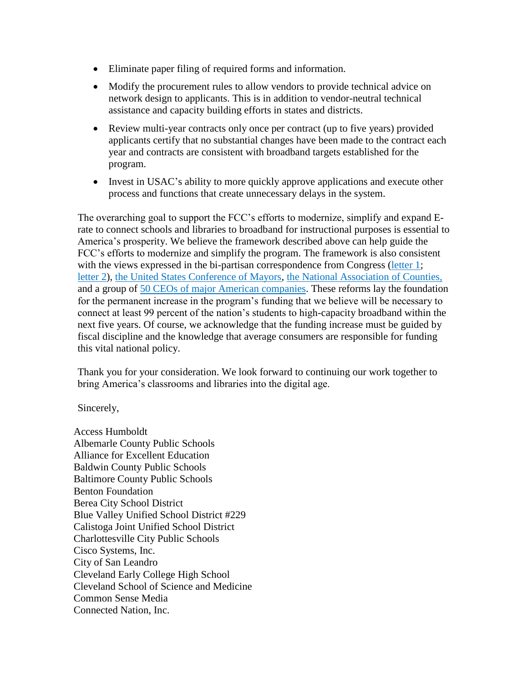- Eliminate paper filing of required forms and information.
- Modify the procurement rules to allow vendors to provide technical advice on network design to applicants. This is in addition to vendor-neutral technical assistance and capacity building efforts in states and districts.
- Review multi-year contracts only once per contract (up to five years) provided applicants certify that no substantial changes have been made to the contract each year and contracts are consistent with broadband targets established for the program.
- Invest in USAC's ability to more quickly approve applications and execute other process and functions that create unnecessary delays in the system.

The overarching goal to support the FCC's efforts to modernize, simplify and expand Erate to connect schools and libraries to broadband for instructional purposes is essential to America's prosperity. We believe the framework described above can help guide the FCC's efforts to modernize and simplify the program. The framework is also consistent with the views expressed in the bi-partisan correspondence from [Congress](http://polis.house.gov/uploadedfiles/e-rate_final.pdf) [\(letter 1;](http://newdemocratcoalition-kind.house.gov/sites/newdemocratcoalition.house.gov/files/ErateLetterMay2014FINAL.PDF) [letter 2](http://polis.house.gov/uploadedfiles/e-rate_final.pdf)[\), the United States Conference of Mayors,](http://apps.fcc.gov/ecfs/document/view?id=7521093862) [the National Association of Counties,](http://www.naco.org/newsroom/countynews/Current%20Issue/3-10-2014/Pages/Board-presses-forward-with-new-policy-positions.aspx) and a group of [50 CEOs of major American companies.](http://www.educationsuperhighway.org/ceo-letter.html) These reforms lay the foundation for the permanent increase in the program's funding that we believe will be necessary to connect at least 99 percent of the nation's students to high-capacity broadband within the next five years. Of course, we acknowledge that the funding increase must be guided by fiscal discipline and the knowledge that average consumers are responsible for funding this vital national policy.

Thank you for your consideration. We look forward to continuing our work together to bring America's classrooms and libraries into the digital age.

Sincerely,

Access Humboldt Albemarle County Public Schools Alliance for Excellent Education Baldwin County Public Schools Baltimore County Public Schools Benton Foundation Berea City School District Blue Valley Unified School District #229 Calistoga Joint Unified School District Charlottesville City Public Schools Cisco Systems, Inc. City of San Leandro Cleveland Early College High School Cleveland School of Science and Medicine Common Sense Media Connected Nation, Inc.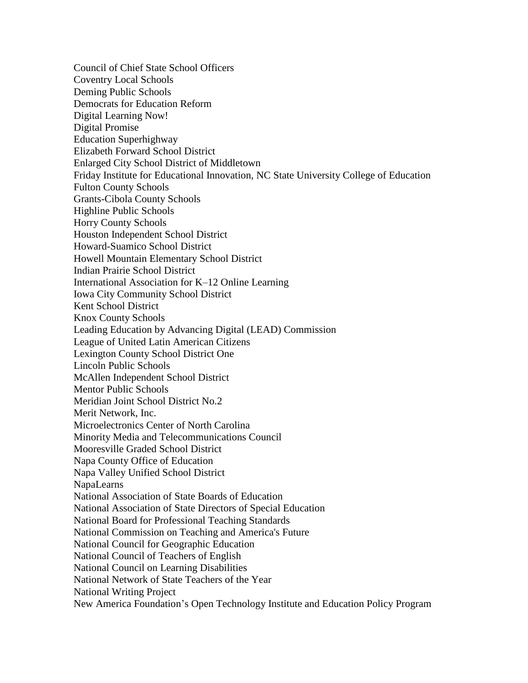Council of Chief State School Officers Coventry Local Schools Deming Public Schools Democrats for Education Reform Digital Learning Now! Digital Promise Education Superhighway Elizabeth Forward School District Enlarged City School District of Middletown Friday Institute for Educational Innovation, NC State University College of Education Fulton County Schools Grants-Cibola County Schools Highline Public Schools Horry County Schools Houston Independent School District Howard-Suamico School District Howell Mountain Elementary School District Indian Prairie School District International Association for K–12 Online Learning Iowa City Community School District Kent School District Knox County Schools Leading Education by Advancing Digital (LEAD) Commission League of United Latin American Citizens Lexington County School District One Lincoln Public Schools McAllen Independent School District Mentor Public Schools Meridian Joint School District No.2 Merit Network, Inc. Microelectronics Center of North Carolina Minority Media and Telecommunications Council Mooresville Graded School District Napa County Office of Education Napa Valley Unified School District NapaLearns National Association of State Boards of Education National Association of State Directors of Special Education National Board for Professional Teaching Standards National Commission on Teaching and America's Future National Council for Geographic Education National Council of Teachers of English National Council on Learning Disabilities National Network of State Teachers of the Year National Writing Project New America Foundation's Open Technology Institute and Education Policy Program